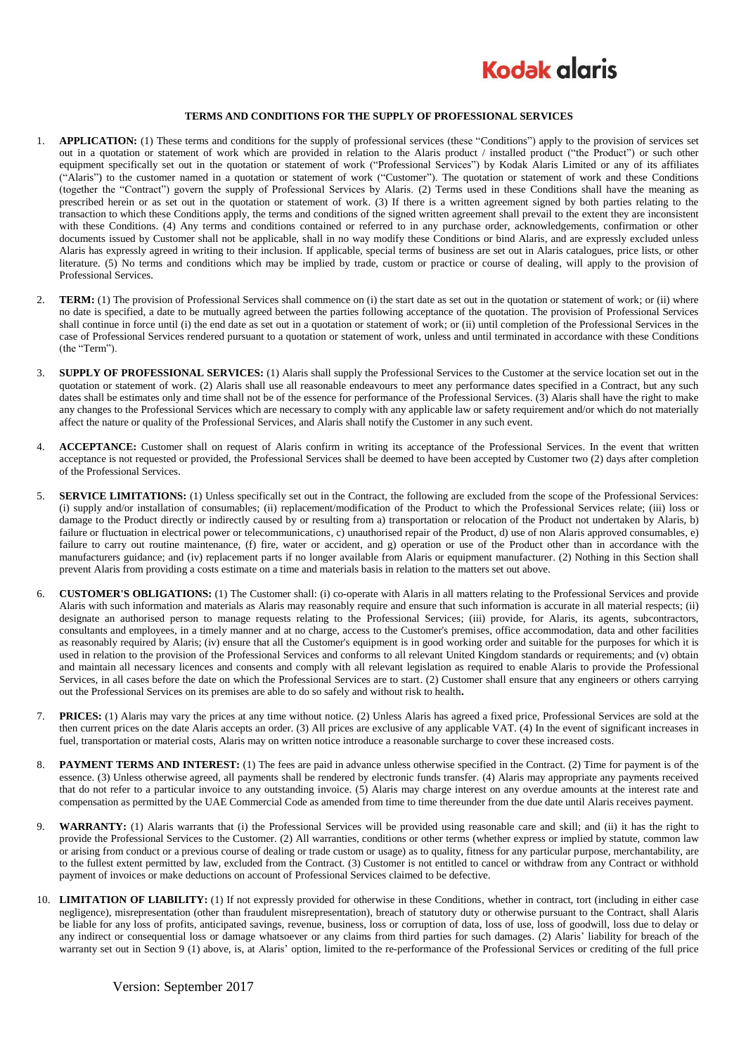

## **TERMS AND CONDITIONS FOR THE SUPPLY OF PROFESSIONAL SERVICES**

- 1. **APPLICATION:** (1) These terms and conditions for the supply of professional services (these "Conditions") apply to the provision of services set out in a quotation or statement of work which are provided in relation to the Alaris product / installed product ("the Product") or such other equipment specifically set out in the quotation or statement of work ("Professional Services") by Kodak Alaris Limited or any of its affiliates ("Alaris") to the customer named in a quotation or statement of work ("Customer"). The quotation or statement of work and these Conditions (together the "Contract") govern the supply of Professional Services by Alaris. (2) Terms used in these Conditions shall have the meaning as prescribed herein or as set out in the quotation or statement of work. (3) If there is a written agreement signed by both parties relating to the transaction to which these Conditions apply, the terms and conditions of the signed written agreement shall prevail to the extent they are inconsistent with these Conditions. (4) Any terms and conditions contained or referred to in any purchase order, acknowledgements, confirmation or other documents issued by Customer shall not be applicable, shall in no way modify these Conditions or bind Alaris, and are expressly excluded unless Alaris has expressly agreed in writing to their inclusion. If applicable, special terms of business are set out in Alaris catalogues, price lists, or other literature. (5) No terms and conditions which may be implied by trade, custom or practice or course of dealing, will apply to the provision of Professional Services.
- 2. **TERM:** (1) The provision of Professional Services shall commence on (i) the start date as set out in the quotation or statement of work; or (ii) where no date is specified, a date to be mutually agreed between the parties following acceptance of the quotation. The provision of Professional Services shall continue in force until (i) the end date as set out in a quotation or statement of work; or (ii) until completion of the Professional Services in the case of Professional Services rendered pursuant to a quotation or statement of work, unless and until terminated in accordance with these Conditions (the "Term").
- 3. **SUPPLY OF PROFESSIONAL SERVICES:** (1) Alaris shall supply the Professional Services to the Customer at the service location set out in the quotation or statement of work. (2) Alaris shall use all reasonable endeavours to meet any performance dates specified in a Contract, but any such dates shall be estimates only and time shall not be of the essence for performance of the Professional Services. (3) Alaris shall have the right to make any changes to the Professional Services which are necessary to comply with any applicable law or safety requirement and/or which do not materially affect the nature or quality of the Professional Services, and Alaris shall notify the Customer in any such event.
- 4. **ACCEPTANCE:** Customer shall on request of Alaris confirm in writing its acceptance of the Professional Services. In the event that written acceptance is not requested or provided, the Professional Services shall be deemed to have been accepted by Customer two (2) days after completion of the Professional Services.
- 5. **SERVICE LIMITATIONS:** (1) Unless specifically set out in the Contract, the following are excluded from the scope of the Professional Services: (i) supply and/or installation of consumables; (ii) replacement/modification of the Product to which the Professional Services relate; (iii) loss or damage to the Product directly or indirectly caused by or resulting from a) transportation or relocation of the Product not undertaken by Alaris, b) failure or fluctuation in electrical power or telecommunications, c) unauthorised repair of the Product, d) use of non Alaris approved consumables, e) failure to carry out routine maintenance, (f) fire, water or accident, and g) operation or use of the Product other than in accordance with the manufacturers guidance; and (iv) replacement parts if no longer available from Alaris or equipment manufacturer. (2) Nothing in this Section shall prevent Alaris from providing a costs estimate on a time and materials basis in relation to the matters set out above.
- 6. **CUSTOMER'S OBLIGATIONS:** (1) The Customer shall: (i) co-operate with Alaris in all matters relating to the Professional Services and provide Alaris with such information and materials as Alaris may reasonably require and ensure that such information is accurate in all material respects; (ii) designate an authorised person to manage requests relating to the Professional Services; (iii) provide, for Alaris, its agents, subcontractors, consultants and employees, in a timely manner and at no charge, access to the Customer's premises, office accommodation, data and other facilities as reasonably required by Alaris; (iv) ensure that all the Customer's equipment is in good working order and suitable for the purposes for which it is used in relation to the provision of the Professional Services and conforms to all relevant United Kingdom standards or requirements; and (v) obtain and maintain all necessary licences and consents and comply with all relevant legislation as required to enable Alaris to provide the Professional Services, in all cases before the date on which the Professional Services are to start. (2) Customer shall ensure that any engineers or others carrying out the Professional Services on its premises are able to do so safely and without risk to health**.**
- 7. **PRICES:** (1) Alaris may vary the prices at any time without notice. (2) Unless Alaris has agreed a fixed price, Professional Services are sold at the then current prices on the date Alaris accepts an order. (3) All prices are exclusive of any applicable VAT. (4) In the event of significant increases in fuel, transportation or material costs, Alaris may on written notice introduce a reasonable surcharge to cover these increased costs.
- 8. **PAYMENT TERMS AND INTEREST:** (1) The fees are paid in advance unless otherwise specified in the Contract. (2) Time for payment is of the essence. (3) Unless otherwise agreed, all payments shall be rendered by electronic funds transfer. (4) Alaris may appropriate any payments received that do not refer to a particular invoice to any outstanding invoice. (5) Alaris may charge interest on any overdue amounts at the interest rate and compensation as permitted by the UAE Commercial Code as amended from time to time thereunder from the due date until Alaris receives payment.
- 9. **WARRANTY:** (1) Alaris warrants that (i) the Professional Services will be provided using reasonable care and skill; and (ii) it has the right to provide the Professional Services to the Customer. (2) All warranties, conditions or other terms (whether express or implied by statute, common law or arising from conduct or a previous course of dealing or trade custom or usage) as to quality, fitness for any particular purpose, merchantability, are to the fullest extent permitted by law, excluded from the Contract. (3) Customer is not entitled to cancel or withdraw from any Contract or withhold payment of invoices or make deductions on account of Professional Services claimed to be defective.
- 10. **LIMITATION OF LIABILITY:** (1) If not expressly provided for otherwise in these Conditions, whether in contract, tort (including in either case negligence), misrepresentation (other than fraudulent misrepresentation), breach of statutory duty or otherwise pursuant to the Contract, shall Alaris be liable for any loss of profits, anticipated savings, revenue, business, loss or corruption of data, loss of use, loss of goodwill, loss due to delay or any indirect or consequential loss or damage whatsoever or any claims from third parties for such damages. (2) Alaris' liability for breach of the warranty set out in Section 9 (1) above, is, at Alaris' option, limited to the re-performance of the Professional Services or crediting of the full price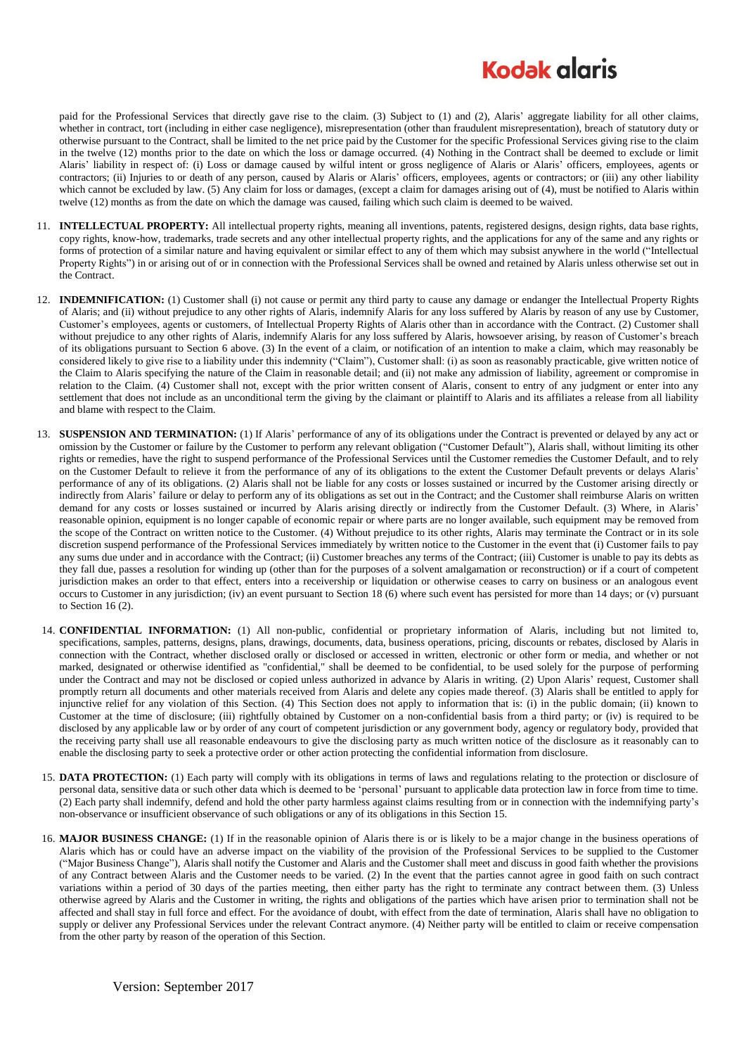## **Kodak glgris**

paid for the Professional Services that directly gave rise to the claim. (3) Subject to (1) and (2), Alaris' aggregate liability for all other claims, whether in contract, tort (including in either case negligence), misrepresentation (other than fraudulent misrepresentation), breach of statutory duty or otherwise pursuant to the Contract, shall be limited to the net price paid by the Customer for the specific Professional Services giving rise to the claim in the twelve (12) months prior to the date on which the loss or damage occurred. (4) Nothing in the Contract shall be deemed to exclude or limit Alaris' liability in respect of: (i) Loss or damage caused by wilful intent or gross negligence of Alaris or Alaris' officers, employees, agents or contractors; (ii) Injuries to or death of any person, caused by Alaris or Alaris' officers, employees, agents or contractors; or (iii) any other liability which cannot be excluded by law. (5) Any claim for loss or damages, (except a claim for damages arising out of (4), must be notified to Alaris within twelve (12) months as from the date on which the damage was caused, failing which such claim is deemed to be waived.

- 11. **INTELLECTUAL PROPERTY:** All intellectual property rights, meaning all inventions, patents, registered designs, design rights, data base rights, copy rights, know-how, trademarks, trade secrets and any other intellectual property rights, and the applications for any of the same and any rights or forms of protection of a similar nature and having equivalent or similar effect to any of them which may subsist anywhere in the world ("Intellectual Property Rights") in or arising out of or in connection with the Professional Services shall be owned and retained by Alaris unless otherwise set out in the Contract.
- 12. **INDEMNIFICATION:** (1) Customer shall (i) not cause or permit any third party to cause any damage or endanger the Intellectual Property Rights of Alaris; and (ii) without prejudice to any other rights of Alaris, indemnify Alaris for any loss suffered by Alaris by reason of any use by Customer, Customer's employees, agents or customers, of Intellectual Property Rights of Alaris other than in accordance with the Contract. (2) Customer shall without prejudice to any other rights of Alaris, indemnify Alaris for any loss suffered by Alaris, howsoever arising, by reason of Customer's breach of its obligations pursuant to Section 6 above. (3) In the event of a claim, or notification of an intention to make a claim, which may reasonably be considered likely to give rise to a liability under this indemnity ("Claim"), Customer shall: (i) as soon as reasonably practicable, give written notice of the Claim to Alaris specifying the nature of the Claim in reasonable detail; and (ii) not make any admission of liability, agreement or compromise in relation to the Claim. (4) Customer shall not, except with the prior written consent of Alaris, consent to entry of any judgment or enter into any settlement that does not include as an unconditional term the giving by the claimant or plaintiff to Alaris and its affiliates a release from all liability and blame with respect to the Claim.
- 13. **SUSPENSION AND TERMINATION:** (1) If Alaris' performance of any of its obligations under the Contract is prevented or delayed by any act or omission by the Customer or failure by the Customer to perform any relevant obligation ("Customer Default"), Alaris shall, without limiting its other rights or remedies, have the right to suspend performance of the Professional Services until the Customer remedies the Customer Default, and to rely on the Customer Default to relieve it from the performance of any of its obligations to the extent the Customer Default prevents or delays Alaris' performance of any of its obligations. (2) Alaris shall not be liable for any costs or losses sustained or incurred by the Customer arising directly or indirectly from Alaris' failure or delay to perform any of its obligations as set out in the Contract; and the Customer shall reimburse Alaris on written demand for any costs or losses sustained or incurred by Alaris arising directly or indirectly from the Customer Default. (3) Where, in Alaris' reasonable opinion, equipment is no longer capable of economic repair or where parts are no longer available, such equipment may be removed from the scope of the Contract on written notice to the Customer. (4) Without prejudice to its other rights, Alaris may terminate the Contract or in its sole discretion suspend performance of the Professional Services immediately by written notice to the Customer in the event that (i) Customer fails to pay any sums due under and in accordance with the Contract; (ii) Customer breaches any terms of the Contract; (iii) Customer is unable to pay its debts as they fall due, passes a resolution for winding up (other than for the purposes of a solvent amalgamation or reconstruction) or if a court of competent jurisdiction makes an order to that effect, enters into a receivership or liquidation or otherwise ceases to carry on business or an analogous event occurs to Customer in any jurisdiction; (iv) an event pursuant to Section 18 (6) where such event has persisted for more than 14 days; or (v) pursuant to Section [16](#page-1-0) (2).
- 14. **CONFIDENTIAL INFORMATION:** (1) All non-public, confidential or proprietary information of Alaris, including but not limited to, specifications, samples, patterns, designs, plans, drawings, documents, data, business operations, pricing, discounts or rebates, disclosed by Alaris in connection with the Contract, whether disclosed orally or disclosed or accessed in written, electronic or other form or media, and whether or not marked, designated or otherwise identified as "confidential," shall be deemed to be confidential, to be used solely for the purpose of performing under the Contract and may not be disclosed or copied unless authorized in advance by Alaris in writing. (2) Upon Alaris' request, Customer shall promptly return all documents and other materials received from Alaris and delete any copies made thereof. (3) Alaris shall be entitled to apply for injunctive relief for any violation of this Section. (4) This Section does not apply to information that is: (i) in the public domain; (ii) known to Customer at the time of disclosure; (iii) rightfully obtained by Customer on a non-confidential basis from a third party; or (iv) is required to be disclosed by any applicable law or by order of any court of competent jurisdiction or any government body, agency or regulatory body, provided that the receiving party shall use all reasonable endeavours to give the disclosing party as much written notice of the disclosure as it reasonably can to enable the disclosing party to seek a protective order or other action protecting the confidential information from disclosure.
- <span id="page-1-1"></span>15. **DATA PROTECTION:** (1) Each party will comply with its obligations in terms of laws and regulations relating to the protection or disclosure of personal data, sensitive data or such other data which is deemed to be 'personal' pursuant to applicable data protection law in force from time to time. (2) Each party shall indemnify, defend and hold the other party harmless against claims resulting from or in connection with the indemnifying party's non-observance or insufficient observance of such obligations or any of its obligations in this Sectio[n 15.](#page-1-1)
- <span id="page-1-0"></span>16. **MAJOR BUSINESS CHANGE:** (1) If in the reasonable opinion of Alaris there is or is likely to be a major change in the business operations of Alaris which has or could have an adverse impact on the viability of the provision of the Professional Services to be supplied to the Customer ("Major Business Change"), Alaris shall notify the Customer and Alaris and the Customer shall meet and discuss in good faith whether the provisions of any Contract between Alaris and the Customer needs to be varied. (2) In the event that the parties cannot agree in good faith on such contract variations within a period of 30 days of the parties meeting, then either party has the right to terminate any contract between them. (3) Unless otherwise agreed by Alaris and the Customer in writing, the rights and obligations of the parties which have arisen prior to termination shall not be affected and shall stay in full force and effect. For the avoidance of doubt, with effect from the date of termination, Alaris shall have no obligation to supply or deliver any Professional Services under the relevant Contract anymore. (4) Neither party will be entitled to claim or receive compensation from the other party by reason of the operation of this Section.